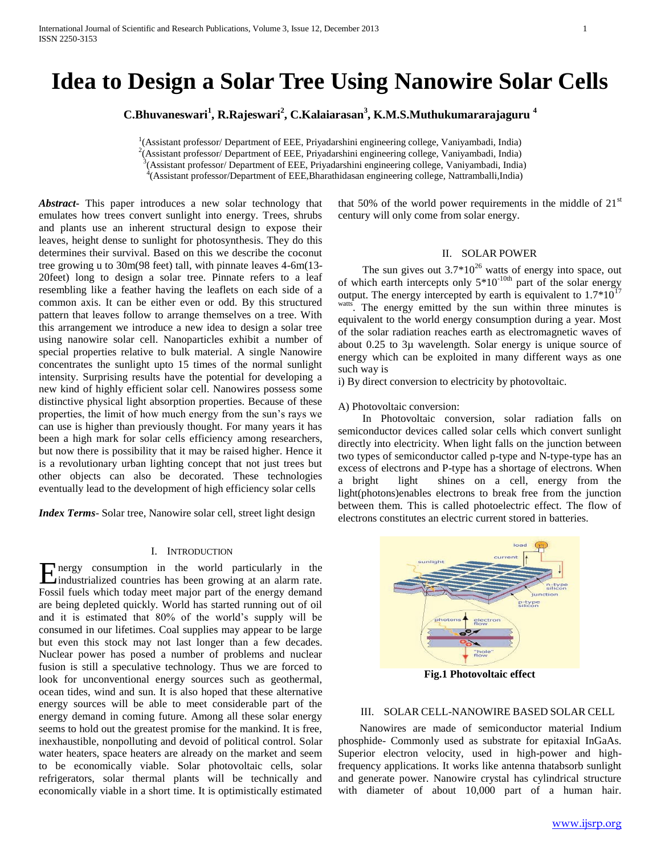# **Idea to Design a Solar Tree Using Nanowire Solar Cells**

**C.Bhuvaneswari<sup>1</sup> , R.Rajeswari<sup>2</sup> , C.Kalaiarasan<sup>3</sup> , K.M.S.Muthukumararajaguru <sup>4</sup>**

<sup>1</sup>(Assistant professor/ Department of EEE, Priyadarshini engineering college, Vaniyambadi, India) <sup>2</sup>(Assistant professor/ Department of EEE, Priyadarshini engineering college, Vaniyambadi, India) <sup>3</sup>(Assistant professor/ Department of EEE, Priyadarshini engineering college, Vaniyambadi, India)

4 (Assistant professor/Department of EEE,Bharathidasan engineering college, Nattramballi,India)

*Abstract***-** This paper introduces a new solar technology that emulates how trees convert sunlight into energy. Trees, shrubs and plants use an inherent structural design to expose their leaves, height dense to sunlight for photosynthesis. They do this determines their survival. Based on this we describe the coconut tree growing u to 30m(98 feet) tall, with pinnate leaves 4-6m(13- 20feet) long to design a solar tree. Pinnate refers to a leaf resembling like a feather having the leaflets on each side of a common axis. It can be either even or odd. By this structured pattern that leaves follow to arrange themselves on a tree. With this arrangement we introduce a new idea to design a solar tree using nanowire solar cell. Nanoparticles exhibit a number of special properties relative to bulk material. A single Nanowire concentrates the sunlight upto 15 times of the normal sunlight intensity. Surprising results have the potential for developing a new kind of highly efficient solar cell. Nanowires possess some distinctive physical light absorption properties. Because of these properties, the limit of how much energy from the sun's rays we can use is higher than previously thought. For many years it has been a high mark for solar cells efficiency among researchers, but now there is possibility that it may be raised higher. Hence it is a revolutionary urban lighting concept that not just trees but other objects can also be decorated. These technologies eventually lead to the development of high efficiency solar cells

*Index Terms*- Solar tree, Nanowire solar cell, street light design

#### I. INTRODUCTION

Energy consumption in the world particularly in the industrialized countries has been growing at an alarm rate. industrialized countries has been growing at an alarm rate. Fossil fuels which today meet major part of the energy demand are being depleted quickly. World has started running out of oil and it is estimated that 80% of the world's supply will be consumed in our lifetimes. Coal supplies may appear to be large but even this stock may not last longer than a few decades. Nuclear power has posed a number of problems and nuclear fusion is still a speculative technology. Thus we are forced to look for unconventional energy sources such as geothermal, ocean tides, wind and sun. It is also hoped that these alternative energy sources will be able to meet considerable part of the energy demand in coming future. Among all these solar energy seems to hold out the greatest promise for the mankind. It is free, inexhaustible, nonpolluting and devoid of political control. Solar water heaters, space heaters are already on the market and seem to be economically viable. Solar photovoltaic cells, solar refrigerators, solar thermal plants will be technically and economically viable in a short time. It is optimistically estimated

that 50% of the world power requirements in the middle of  $21<sup>st</sup>$ century will only come from solar energy.

## II. SOLAR POWER

The sun gives out  $3.7*10^{26}$  watts of energy into space, out of which earth intercepts only  $5*10^{-10th}$  part of the solar energy output. The energy intercepted by earth is equivalent to  $1.7*10^{17}$ watts. The energy emitted by the sun within three minutes is equivalent to the world energy consumption during a year. Most of the solar radiation reaches earth as electromagnetic waves of about 0.25 to 3µ wavelength. Solar energy is unique source of energy which can be exploited in many different ways as one such way is

i) By direct conversion to electricity by photovoltaic.

#### A) Photovoltaic conversion:

 In Photovoltaic conversion, solar radiation falls on semiconductor devices called solar cells which convert sunlight directly into electricity. When light falls on the junction between two types of semiconductor called p-type and N-type-type has an excess of electrons and P-type has a shortage of electrons. When a bright light shines on a cell, energy from the light(photons)enables electrons to break free from the junction between them. This is called photoelectric effect. The flow of electrons constitutes an electric current stored in batteries.



**Fig.1 Photovoltaic effect**

#### III. SOLAR CELL-NANOWIRE BASED SOLAR CELL

 Nanowires are made of semiconductor material Indium phosphide- Commonly used as substrate for epitaxial InGaAs. Superior electron velocity, used in high-power and highfrequency applications. It works like antenna thatabsorb sunlight and generate power. Nanowire crystal has cylindrical structure with diameter of about 10,000 part of a human hair.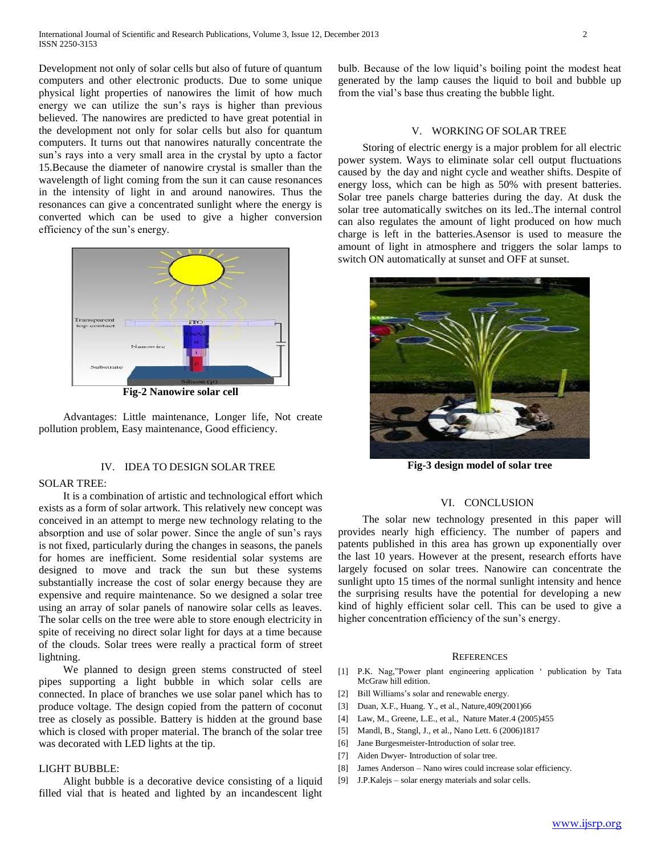Development not only of solar cells but also of future of quantum computers and other electronic products. Due to some unique physical light properties of nanowires the limit of how much energy we can utilize the sun's rays is higher than previous believed. The nanowires are predicted to have great potential in the development not only for solar cells but also for quantum computers. It turns out that nanowires naturally concentrate the sun's rays into a very small area in the crystal by upto a factor 15.Because the diameter of nanowire crystal is smaller than the wavelength of light coming from the sun it can cause resonances in the intensity of light in and around nanowires. Thus the resonances can give a concentrated sunlight where the energy is converted which can be used to give a higher conversion efficiency of the sun's energy.



**Fig-2 Nanowire solar cell**

 Advantages: Little maintenance, Longer life, Not create pollution problem, Easy maintenance, Good efficiency.

## IV. IDEA TO DESIGN SOLAR TREE

#### SOLAR TREE:

 It is a combination of artistic and technological effort which exists as a form of solar artwork. This relatively new concept was conceived in an attempt to merge new technology relating to the absorption and use of solar power. Since the angle of sun's rays is not fixed, particularly during the changes in seasons, the panels for homes are inefficient. Some residential solar systems are designed to move and track the sun but these systems substantially increase the cost of solar energy because they are expensive and require maintenance. So we designed a solar tree using an array of solar panels of nanowire solar cells as leaves. The solar cells on the tree were able to store enough electricity in spite of receiving no direct solar light for days at a time because of the clouds. Solar trees were really a practical form of street lightning.

 We planned to design green stems constructed of steel pipes supporting a light bubble in which solar cells are connected. In place of branches we use solar panel which has to produce voltage. The design copied from the pattern of coconut tree as closely as possible. Battery is hidden at the ground base which is closed with proper material. The branch of the solar tree was decorated with LED lights at the tip.

## LIGHT BUBBLE:

 Alight bubble is a decorative device consisting of a liquid filled vial that is heated and lighted by an incandescent light bulb. Because of the low liquid's boiling point the modest heat generated by the lamp causes the liquid to boil and bubble up from the vial's base thus creating the bubble light.

#### V. WORKING OF SOLAR TREE

 Storing of electric energy is a major problem for all electric power system. Ways to eliminate solar cell output fluctuations caused by the day and night cycle and weather shifts. Despite of energy loss, which can be high as 50% with present batteries. Solar tree panels charge batteries during the day. At dusk the solar tree automatically switches on its led..The internal control can also regulates the amount of light produced on how much charge is left in the batteries.Asensor is used to measure the amount of light in atmosphere and triggers the solar lamps to switch ON automatically at sunset and OFF at sunset.



**Fig-3 design model of solar tree**

## VI. CONCLUSION

 The solar new technology presented in this paper will provides nearly high efficiency. The number of papers and patents published in this area has grown up exponentially over the last 10 years. However at the present, research efforts have largely focused on solar trees. Nanowire can concentrate the sunlight upto 15 times of the normal sunlight intensity and hence the surprising results have the potential for developing a new kind of highly efficient solar cell. This can be used to give a higher concentration efficiency of the sun's energy.

#### **REFERENCES**

- [1] P.K. Nag,"Power plant engineering application ' publication by Tata McGraw hill edition.
- [2] Bill Williams's solar and renewable energy.
- [3] Duan, X.F., Huang. Y., et al., Nature,409(2001)66
- [4] Law, M., Greene, L.E., et al., Nature Mater.4 (2005)455
- [5] Mandl, B., Stangl, J., et al., Nano Lett. 6 (2006)1817
- [6] Jane Burgesmeister-Introduction of solar tree.
- [7] Aiden Dwyer- Introduction of solar tree.
- [8] James Anderson Nano wires could increase solar efficiency.
- [9] J.P.Kalejs solar energy materials and solar cells.